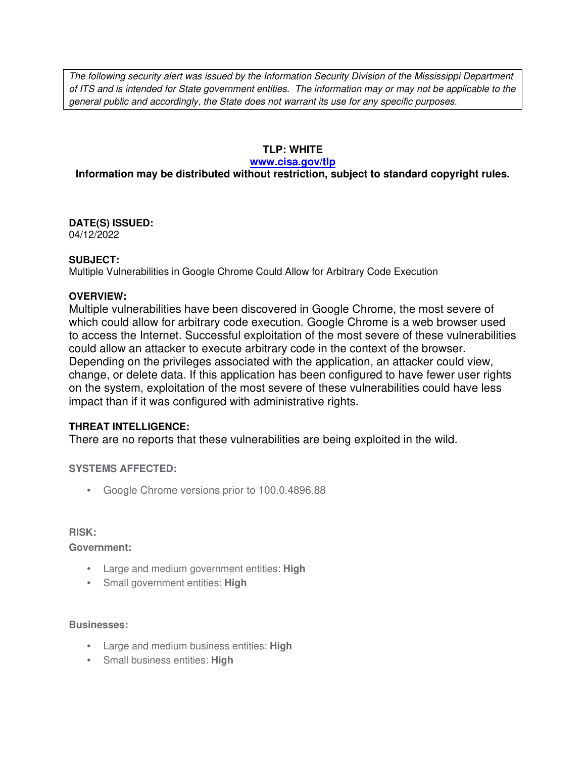The following security alert was issued by the Information Security Division of the Mississippi Department of ITS and is intended for State government entities. The information may or may not be applicable to the general public and accordingly, the State does not warrant its use for any specific purposes.

## **TLP: WHITE**

#### **www.cisa.gov/tlp**

## **Information may be distributed without restriction, subject to standard copyright rules.**

# **DATE(S) ISSUED:**

04/12/2022

### **SUBJECT:**

Multiple Vulnerabilities in Google Chrome Could Allow for Arbitrary Code Execution

### **OVERVIEW:**

Multiple vulnerabilities have been discovered in Google Chrome, the most severe of which could allow for arbitrary code execution. Google Chrome is a web browser used to access the Internet. Successful exploitation of the most severe of these vulnerabilities could allow an attacker to execute arbitrary code in the context of the browser. Depending on the privileges associated with the application, an attacker could view, change, or delete data. If this application has been configured to have fewer user rights on the system, exploitation of the most severe of these vulnerabilities could have less impact than if it was configured with administrative rights.

## **THREAT INTELLIGENCE:**

There are no reports that these vulnerabilities are being exploited in the wild.

## **SYSTEMS AFFECTED:**

• Google Chrome versions prior to 100.0.4896.88

#### **RISK:**

**Government:**

- Large and medium government entities: **High**
- Small government entities: **High**

#### **Businesses:**

- Large and medium business entities: **High**
- Small business entities: **High**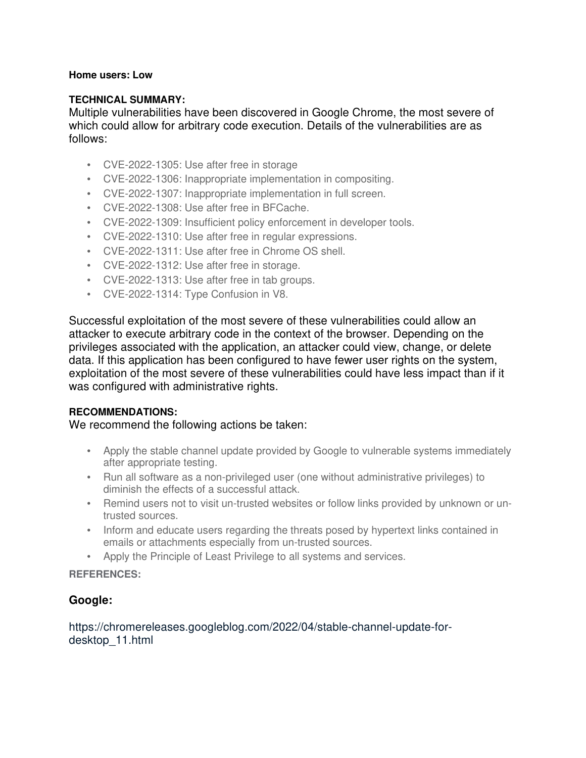#### **Home users: Low**

#### **TECHNICAL SUMMARY:**

Multiple vulnerabilities have been discovered in Google Chrome, the most severe of which could allow for arbitrary code execution. Details of the vulnerabilities are as follows:

- CVE-2022-1305: Use after free in storage
- CVE-2022-1306: Inappropriate implementation in compositing.
- CVE-2022-1307: Inappropriate implementation in full screen.
- CVE-2022-1308: Use after free in BFCache.
- CVE-2022-1309: Insufficient policy enforcement in developer tools.
- CVE-2022-1310: Use after free in regular expressions.
- CVE-2022-1311: Use after free in Chrome OS shell.
- CVE-2022-1312: Use after free in storage.
- CVE-2022-1313: Use after free in tab groups.
- CVE-2022-1314: Type Confusion in V8.

Successful exploitation of the most severe of these vulnerabilities could allow an attacker to execute arbitrary code in the context of the browser. Depending on the privileges associated with the application, an attacker could view, change, or delete data. If this application has been configured to have fewer user rights on the system, exploitation of the most severe of these vulnerabilities could have less impact than if it was configured with administrative rights.

#### **RECOMMENDATIONS:**

#### We recommend the following actions be taken:

- Apply the stable channel update provided by Google to vulnerable systems immediately after appropriate testing.
- Run all software as a non-privileged user (one without administrative privileges) to diminish the effects of a successful attack.
- Remind users not to visit un-trusted websites or follow links provided by unknown or untrusted sources.
- Inform and educate users regarding the threats posed by hypertext links contained in emails or attachments especially from un-trusted sources.
- Apply the Principle of Least Privilege to all systems and services.

#### **REFERENCES:**

## **Google:**

### https://chromereleases.googleblog.com/2022/04/stable-channel-update-fordesktop\_11.html